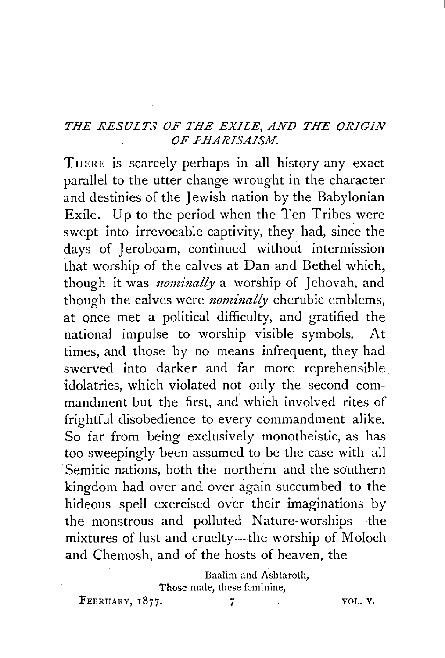## *THE RESULTS OF THE EXILE, AND THE ORIGIN*  OF PHARISAISM.

THERE is scarcely perhaps in all history any exact parallel to the utter change wrought in the character and destinies of the Jewish nation by the Babylonian Exile. Up to the period when the Ten Tribes were swept into irrevocable captivity, they had, since the days of Jeroboam, continued without intermission that worship of the calves at Dan and Bethel which, though it was *nominally* a worship of Jehovah, and though the calves were *nominally* cherubic emblems, at once met a political difficulty, and gratified the national impulse to worship visible symbols. At times, and those by no means infrequent, they had swerved into darker and far more reprehensible. idolatries, which violated not only the second commandment but the first, and which involved rites of frightful disobedience to every commandment alike. So far from being exclusively monotheistic, as has too sweepingly been assumed to be the case with all Semitic nations, both the northern and the southern kingdom had over and over again succumbed to the hideous spell exercised over their imaginations by the monstrous and polluted Nature-worships-the mixtures of lust and cruelty—the worship of Molochand Chemosh, and of the hosts of heaven, the

> Baalim and Ashtaroth, Those male, these feminine,

FEBRUARY, 1877. *i i i vOL. V.*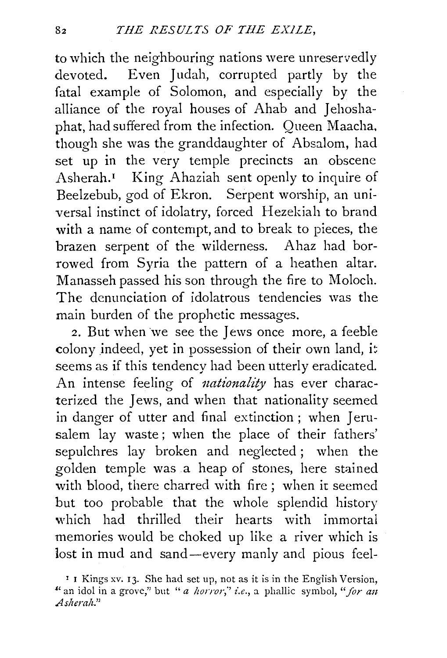to which the neighbouring nations were unreservedly devoted. Even Judah, corrupted partly by the fatal example of Solomon, and especially by the alliance of the royal houses of Ahab and Jehoshaphat, had suffered from the infection. Queen Maacha. though she was the granddaughter of Absalom, had set up in the very temple precincts an obscene Asherah.<sup>1</sup> King Ahaziah sent openly to inquire of Beelzebub, god of Ekron. Serpent worship, an universal instinct of idolatry, forced Hezekiah to brand with a name of contempt, and to break to pieces, the brazen serpent of the wilderness. Ahaz had borrowed from Syria the pattern of a heathen altar. Manasseh passed his son through the fire to Moloch. The denunciation of idolatrous tendencies was the main burden of the prophetic messages.

2. But when we see the Jews once more, a feeble colony indeed, yet in possession of their own land, it seems as if this tendency had been utterly eradicated. An intense feeling of *nationality* has ever characterized the Jews, and when that nationality seemed in danger of utter and final extinction; when Jerusalem lay waste; when the place of their fathers' sepulchres lay broken and neglected ; when the golden temple was a heap of stones, here stained with blood, there charred with fire ; when it seemed but too probable that the whole splendid history which had thrilled their hearts with immortal memories would be choked up like a river which is lost in mud and sand-every manly and pious feel-

<sup>&#</sup>x27; I Kings xv. 13. She had set up, not as it is in the English Version, " an idol in a grove," but "*a horror*," *i.e.*, a phallic symbol, " for an *.Asheralz."*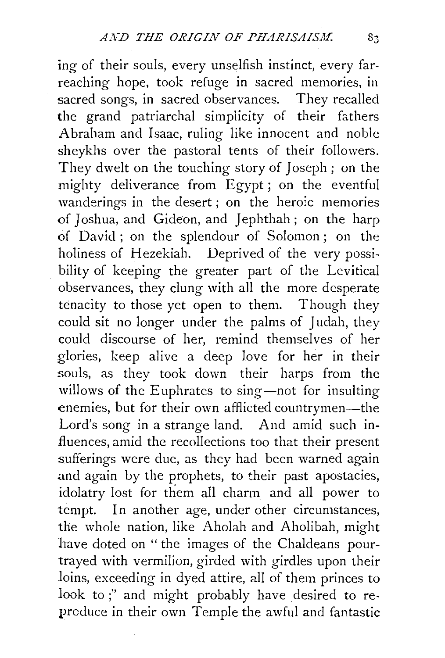ing of their souls, every unselfish instinct, every farreaching hope, took refuge in sacred memories, in sacred songs, in sacred observances. They recalled the grand patriarchal simplicity of their fathers Abraham and Isaac, ruling like innocent and noble sheykhs over the pastoral tents of their followers. They dwelt on the touching story of Joseph; on the mighty deliverance from Egypt ; on the eventful wanderings in the desert ; on the heroic memories of Joshua, and Gideon, and Jephthah; on the harp of David ; on the splendour of Solomon ; on the holiness of Hezekiah. Deprived of the very possibility of keeping the greater part of the Levitical observances, they clung with all the more desperate tenacity to those yet open to them. Though they could sit no longer under the palms of Judah, they could discourse of her, remind themselves of her glories, keep alive a deep love for her in their souls, as they took down their harps from the willows of the Euphrates to sing-not for insulting enemies, but for their own afflicted countrymen-the Lord's song in a strange land. And amid such influences, amid the recollections too that their present sufferings were due, as they had been warned again and again by the prophets, to their past apostacies, idolatry lost for them all charm and all power to tempt. In another age, under other circumstances, the whole nation, like Aholah and Aholibah, might have doted on " the images of the Chaldeans pourtrayed with vermilion, girded with girdles upon their loins, exceeding in dyed attire, all of them princes to look to ;" and might probably have desired to reproduce in their own Temple the awful and fantastic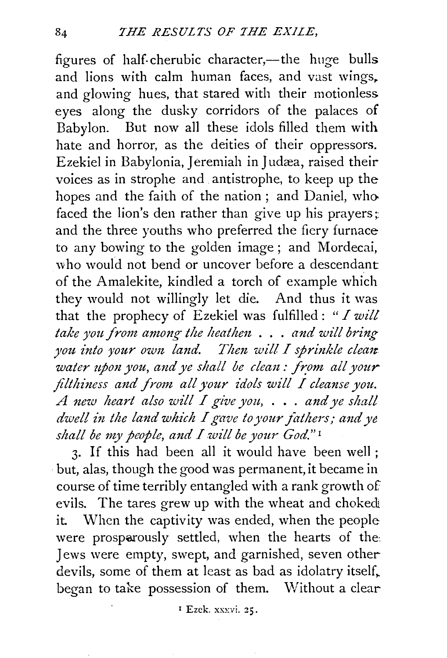figures of half-cherubic character,—the huge bulls and lions with calm human faces, and vast wings. and glowing hues, that stared with their motionless eyes along the dusky corridors of the palaces of Babylon. But now all these idols filled them with hate and horror, as the deities of their oppressors. Ezekiel in Babylonia, Jeremiah in Judæa, raised their voices as in strophe and antistrophe, to keep up the hopes and the faith of the nation ; and Daniel, who faced the lion's den rather than give up his prayers; and the three youths who preferred the fiery furnace to any bowing to the golden image ; and Mordecai, who would not bend or uncover before a descendant of the Amalekite, kindled a torch of example which they would not willingly let die. And thus it was that the prophecy of Ezekiel was fulfilled: *"I wilt take you from among the heathm* . . . *and will bring you into your own land. Then will I sprinkle clean water upon you, and ye shall be clean: from all your* filthiness and from all your idols will I cleanse you. *A mw heart also will I give you,* . . . *and ye shall dwell in the land which I gave to your fathers; and ye shall be my people, and I will be your God."* <sup>1</sup>

3. If this had been all it would have been well; · but, alas, though the good was permanent, it became in course of time terribly entangled with a rank growth of evils. The tares grew up with the wheat and choked it. When the captivity was ended, when the people were prosparously settled, when the hearts of the: Jews were empty, swept, and garnished, seven other devils, some of them at least as bad as idolatry itself, began to take possession of them. Without a clear

<sup>1</sup> Ezek. xxxvi. 25.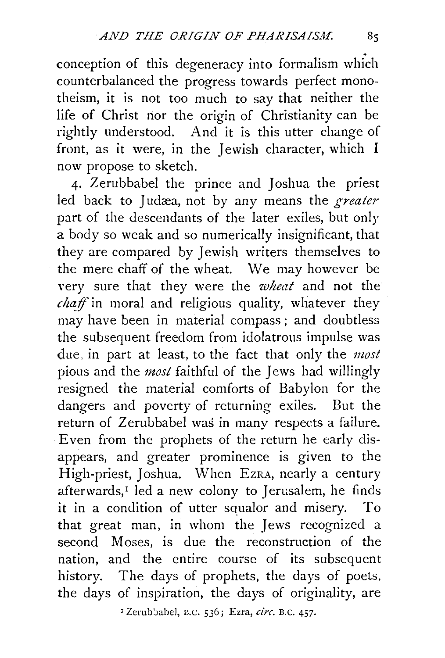conception of this degeneracy into formalism which counterbalanced the progress towards perfect monotheism, it is not too much to say that neither the life of Christ nor the origin of Christianity can be rightly understood. And it is this utter change of front, as it were, in the Jewish character, which  $I$ now propose to sketch.

4· Zerubbabel the prince and Joshua the priest led back to Judæa, not by any means the *greater* part of the descendants of the later exiles, but only a body so weak and so numerically insignificant, that they are compared by Jewish writers themselves to the mere chaff of the wheat. We may however be very sure that they were the *wheat* and not the  $\hat{c}$ *chaff* in moral and religious quality, whatever they may have been in material compass; and doubtless the subsequent freedom from idolatrous impulse was due, in part at least, to the fact that only the *most*  pious and the *most* faithful of the Jews had willingly resigned the material comforts of Babylon for the dangers and poverty of returning exiles. But the return of Zerubbabel was in many respects a failure. Even from the prophets of the return he early disappears, and greater prominence is given to the High-priest, Joshua. When EzRA, nearly a century afterwards,<sup>I</sup> led a new colony to Jerusalem, he finds it in a condition of utter squalor and misery. To that great man, in whom the Jews recognized a second Moses, is due the reconstruction of the nation, and the entire course of its subsequent history. The days of prophets, the days of poets, the days of inspiration, the days of originality, are

1 ZerubJahel, n.c. 536; Ezra, *circ.* B. C. 457·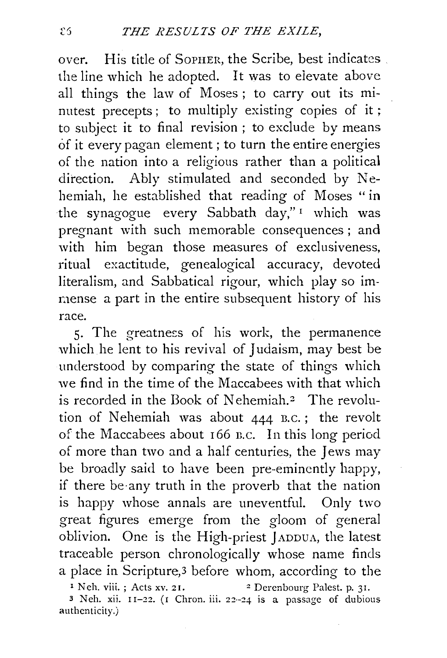*over.* His title of SoPHER, the Scribe, best indicates . the line which he adopted. It was to elevate *above*  all things the law of Moses ; to carry out its minutest precepts; to multiply existing copies of it; to subject it to final revision ; to exclude by means of it every pagan element; to turn the entire energies of the nation into a religious rather than a political direction. Ably stimulated and seconded by Nehemiah, he established that reading of Moses "in the synagogue every Sabbath day,"<sup>1</sup> which was pregnant with such memorable consequences ; and with him began those measures of exclusiveness, ritual exactitude, genealogical accuracy, devoted literalism, and Sabbatical rigour, which play so immense a part in the entire subsequent history of his race.

5· The greatness of his work, the permanence which he lent to his revival of Judaism, may best be understood by comparing the state of things which we find in the time of the Maccabees with that which is recorded in the Book of Nehemiah.<sup>2</sup> The revolution of Nehemiah was about 444 B.C.; the revolt of the Maccabees about 166 n.c. In this long period of more than two and a half centuries, the Jews may be broadly said to have been pre-eminently happy, if there be-any truth in the proverb that the nation is happy whose annals are uneventful. Only two great figures emerge from the gloom of general oblivion. One is the High-priest jADDUA, the latest traceable person chronologically whose name finds a place in Scripture, 3 before whom, according to the <sup>1</sup> Neh. viii. ; Acts xv. 21. <sup>2</sup> Derenbourg Palest. p. 31.

3 Neh. xii. 11-22. (I Chron. iii. 22-24 is a passage of dubious authenticity.)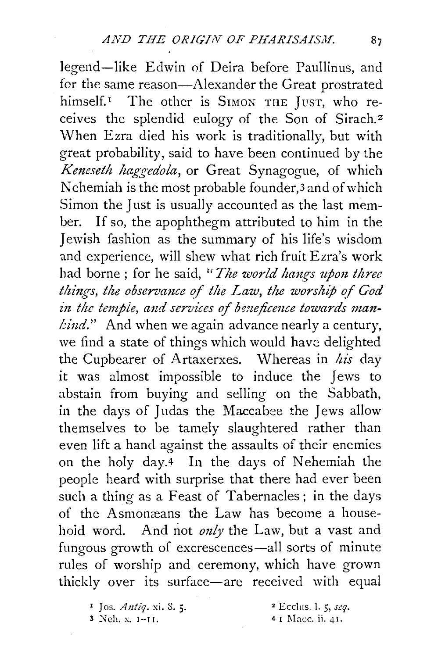legend-like Edwin of Deira before Paullinus, and for the same reason-Alexander the Great prostrated himself.<sup>1</sup> The other is SIMON THE JUST, who receives the splendid eulogy of the Son of Sirach. <sup>2</sup> When Ezra died his work is traditionally, but with great probability, said to have been continued by the *Keneseth haggedola*, or Great Synagogue, of which Nehemiah is the most probable founder,<sup>3</sup> and of which Simon the Just is usually accounted as the last member. If so, the apophthegm attributed to him in the Jewish fashion as the summary of his life's wisdom and experience, will shew what rich fruit Ezra's work had borne; for he said, "*The world hangs upon three things, the observance of the Law, the worship of God* in the temple, and services of beneficence towards man*lind.*" And when we again advance nearly a century, we find a state of things which would have delighted the Cupbearer of Artaxerxes. Whereas in *his* day it was almost impossible to induce the Jews to abstain from buying and selling on the Sabbath, in the days of Judas the Maccabee the Jews allow themselves to be tamely slaughtered rather than even lift a hand against the assaults of their enemies on the holy day.<sup>4</sup> In the days of Nehemiah the people heard with surprise that there had ever been such a thing as a Feast of Tabernacles; in the days of the Asmonæans the Law has become a househoid word. And not only the Law, but a vast and fungous growth of excrescences—all sorts of minute rules of worship and ceremony, which have grown thickly over its surface-are received with equal

2 Ecclus. I. 5, *scq.*  4 I Macc. ii. 41.

<sup>&</sup>lt;sup>1</sup> Jos. *Antiq*. xi. 8. 5.<br>3 Neh. x. 1-11.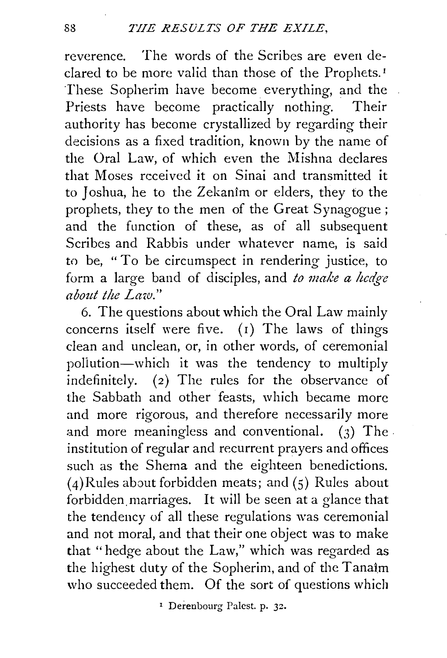reverence. The words of the Scribes are even declared to be more valid than those of the Prophets.<sup>1</sup> These Sopherim have become everything, and the Priests have become practically nothing. Their authority has become crystallized by regarding their decisions as a fixed tradition, known by the name of the Oral Law, of which even the Mishna declares that Moses received it on Sinai and transmitted it to Joshua, he to the Zekanim or elders, they to the prophets, they to the men of the Great Synagogue ; and the function of these, as of all subsequent Scribes and Rabbis under whatever name, is said to be, " To be circumspect in rendering justice, to form a large band of disciples, and *to make a hedge about the Law."* 

6. The questions about which the Oral Law mainly concerns itself were five. (1) The laws of things clean and unclean, or, in other words, of ceremonial poliution-which it was the tendency to multiply indefinitely. (2) The rules for the observance of the Sabbath and other feasts, which became more and more rigorous, and therefore necessarily more and more meaningless and conventional. (3) The . institution of regular and recurrent prayers and offices such as the Shema and the eighteen benedictions. (4)Rules about forbidden meats; and (5) Rules about forbidden.marriages. It will be seen at a glance that the tendency of all these regulations was ceremonial and not moral, and that their one object was to make that "hedge about the Law," which was regarded as the highest duty of the Sopherim, and of the Tanaim who succeeded them. Of the sort of questions which

r Derenbourg Palest. p. 32.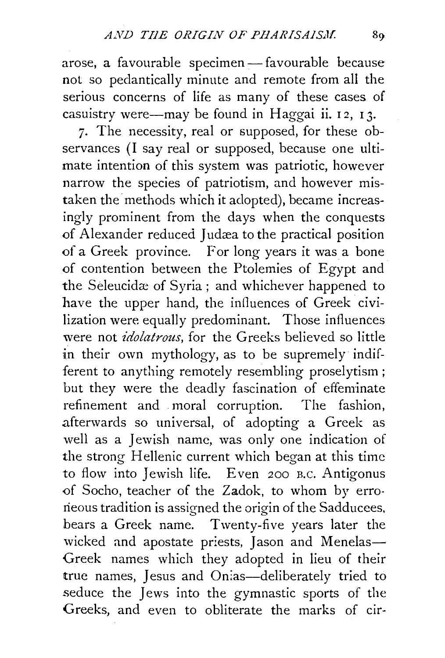arose, a favourable specimen- favourable because not so pedantically minute and remote from all the serious concerns of life as many of these cases of casuistry were—may be found in Haggai ii.  $12$ ,  $13$ .

7· The necessity, real or supposed, for these observances (I say real or supposed, because one ultimate intention of this system was patriotic, however narrow the species of patriotism, and however mistaken the methods which it adopted), became increasingly prominent from the days when the conquests of Alexander reduced Judæa to the practical position of a Greek province. For long years it was a bone of contention between the Ptolemies of Egypt and the Seleucidæ of Syria; and whichever happened to have the upper hand, the influences of Greek civilization were equally predominant. Those influences were not *idolatrous,* for the Greeks believed so little in their own mythology, as to be supremely indifferent to anything remotely resembling proselytism ; but they were the deadly fascination of effeminate refinement and moral corruption. The fashion, afterwards so universal, of adopting a Greek as well as a Jewish name, was only one indication of the strong Hellenic current which began at this time to flow into Jewish life. Even 200 B.C. Antigonus of Socho, teacher of the Zadok, to whom by erroneous tradition is assigned the origin of the Sadducees, bears a Greek name. Twenty-five years later the wicked and apostate priests, Jason and Menelas-Greek names which they adopted in lieu of their true names, Jesus and On:as-deliberately tried to seduce the Jews into the gymnastic sports of the Greeks, and even to obliterate the marks of cir-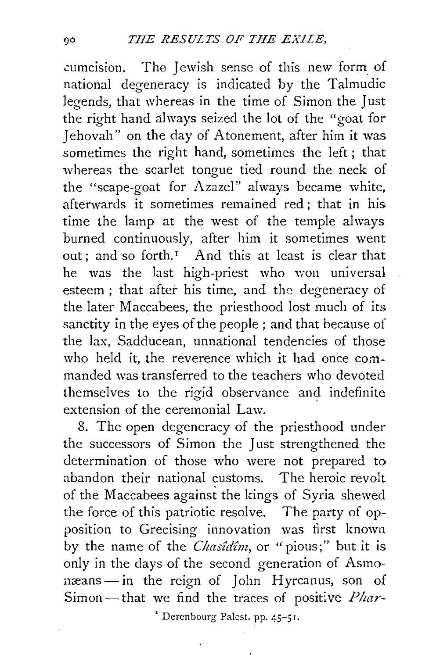cumcision. The Jewish sense of this new form of national degeneracy is indicated by the Talmudic legends, that whereas in the time of Simon the Just the right hand always seized the lot of the "goat for Jehovah" on the day of Atonement, after him it was sometimes the right hand, sometimes the left ; that whereas the scarlet tongue tied round the neck of the "scape-goat for Azazel" always became white, afterwards it sometimes remained red: that in his time the lamp at the west of the temple always burned continuously, after him it sometimes went out; and so forth.<sup>1</sup> And this at least is clear that he was the last high-priest who won universal esteem ; that after his time, and the degeneracy of the later Maccabees, the priesthood lost much of its sanctity in the eyes of the people ; and that because of the lax, Sadducean, unnational tendencies of those who held it, the reverence which it had once commanded was transferred to the teachers who devoted themselves to the rigid observance and indefinite extension of the ceremonial Law.

8. The open degeneracy of the priesthood under the successors of Simon the Just strengthened the determination of those who were not prepared to abandon their national customs. The heroic revolt of the Maccabees against the kings of Syria shewed the force of this patriotic resolve. The party of opposition to Grecising innovation was first known by the name of the *Chas£d£m,* or " pious;" but it is only in the days of the second generation of Asmonæans - in the reign of John Hyrcanus, son of Simon-that we find the traces of positive *Phar-*

' Derenbourg Palest. pp. 45-5 r.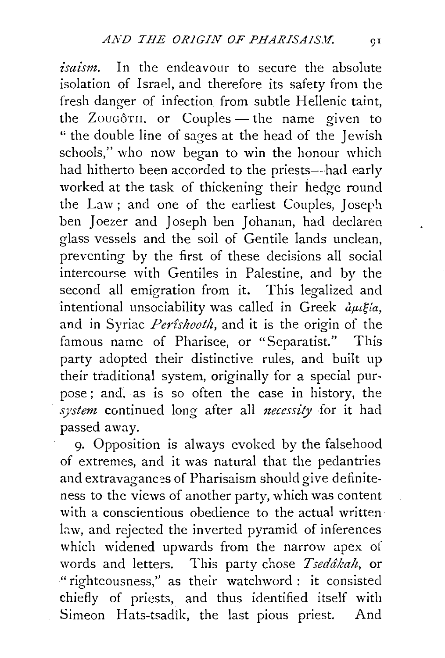*isaism*. In the endeavour to secure the absolute isolation of Israel, and therefore its safety from the fresh danger of infection from subtle Hellenic taint, the Zougôth, or Couples - the name given to " the double line of sages at the head of the Jewish schools," who now began to win the honour which had hitherto been accorded to the priests--had early worked at the task of thickening their hedge round the Law; and one of the earliest Couples, Joseph ben Joezer and Joseph ben Johanan, had declared glass vessels and the soil of Gentile lands unclean, preventing by the first of these decisions a11 social intercourse with Gentiles in Palestine, and by the second all emigration from it. This legalized and intentional unsociability was called in Greek  $\partial \mu \xi / a$ , and in Syriac *Per£shootlz,* and it is the origin of the famous name of Pharisee, or "Separatist." This party adopted their distinctive rules, and built up their traditional system, originally for a special purpose ; and; as is so often the case in history, the *system* continued long after all *1zecessity* for it had passed away.

9· Opposition is always evoked by the falsehood of extremes, and it was natural that the pedantries and extravagances of Pharisaism should give definiteness to the views of another party, which was content with a conscientious obedience to the actual written law, and rejected the inverted pyramid of inferences which widened upwards from the narrow apex ot words and letters. This party chose *Tseddkalz,* or "righteousness," as their watchword : it consisted chiefly of priests, and thus identified itself with Simeon Hats-tsadik, the last pious priest. And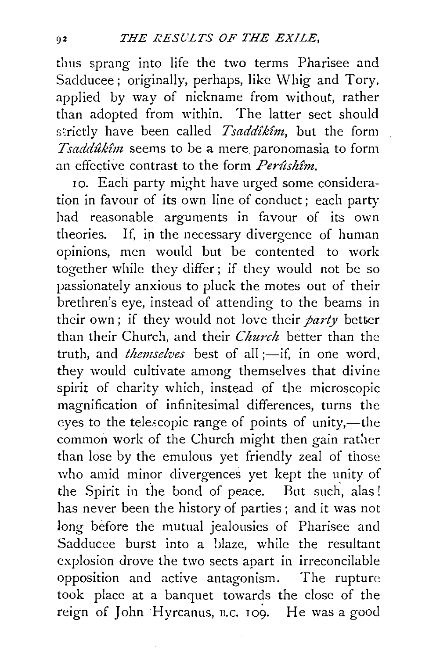thus sprang into life the two terms Pharisee and Sadducee; originally, perhaps, like Whig and Tory, applied by way of nickname from without, rather than adopted from within. The latter sect should strictly have been called *Tsaddikim*, but the form *Tsadduk£m* seems to be a mere. paronomasia to form an effective contrast to the form *Perûshîm*.

10. Each party might have urged some consideration in favour of its own line of conduct ; each party had reasonable arguments in favour of its own theories. If, in the necessary divergence of human opinions, men would but be contented to work together while they differ; if they would not be so passionately anxious to pluck the motes out of their brethren's eye, instead of attending to the beams in their own; if they would not love their *party* better than their Church, and their *Church* better than the truth, and *themselves* best of all ;-if, in one word, they would cultivate among themselves that divine spirit of charity which, instead of the microscopic magnification of infinitesimal differences, turns the eyes to the telescopic range of points of unity,-the common work of the Church might then gain rather than lose by the emulous yet friendly zeal of those who amid minor divergences yet kept the unity of the Spirit in the bond of peace. But such, alas ! has never been the history of parties ; and it was not long before the mutual jealousies of Pharisee and Sadducee burst into a blaze, while the resultant explosion drove the two sects apart in irreconcilable opposition and active antagonism. The rupture took place at a banquet towards the close of the reign of John Hyrcanus, B.C. 109. He was a good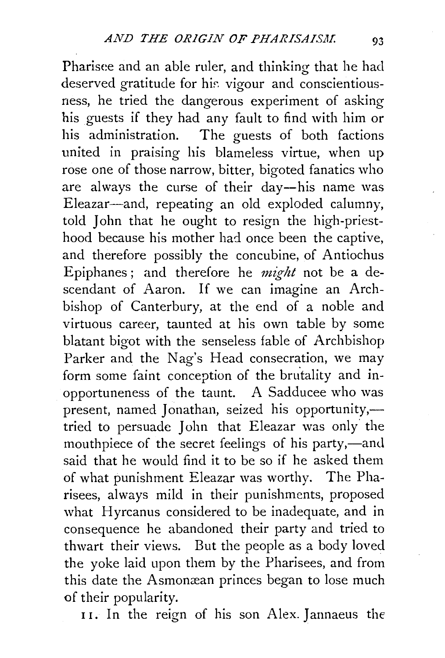Pharisee and an able ruler, and thinking that he had deserved gratitude for his vigour and conscientiousness, he tried the dangerous experiment of asking his guests if they had any fault to find with him or his administration. The guests of both factions united in praising his blameless virtue, when up rose one of those narrow, bitter, bigoted fanatics who are always the curse of their day--his name was Eleazar-and, repeating an old exploded calumny, told John that he ought to resign the high-priesthood because his mother had once been the captive, and therefore possibly the concubine, of Antiochus Epiphanes; and therefore he *might* not be a descendant of Aaron. If we can imagine an Archbishop of Canterbury, at the end of a noble and virtuous career, taunted at his own table by some blatant bigot with the senseless fable of Archbishop Parker and the Nag's Head consecration, we may form some faint conception of the brutality and inopportuneness of the taunt. A Sadducee who was present, named Jonathan, seized his opportunity, tried to persuade John that Eleazar was only' the mouthpiece of the secret feelings of his party,—and said that he would find it to be so if he asked them of what punishment Eleazar was worthy. The Pharisees, always mild in their punishments, proposed what Hyrcanus considered to be inadequate, and in consequence he abandoned their party and tried to thwart their views. But the people as a body loved the yoke laid upon them by the Pharisees, and from this date the Asmomean princes began to lose much of their popularity.

11. In the reign of his son Alex. Jannaeus the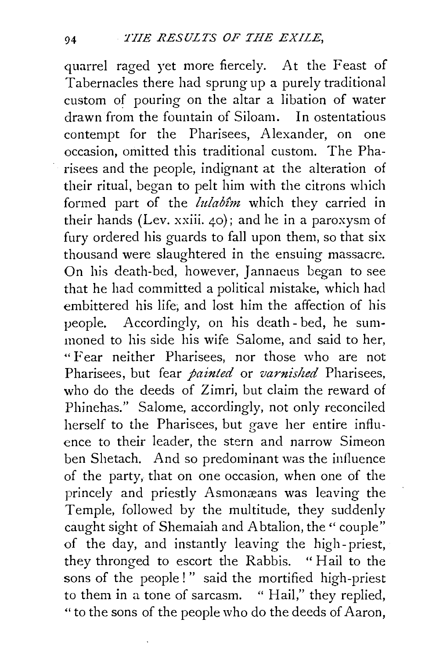quarrel raged yet more fiercely. At the Feast of Tabernacles there had sprung up a purely traditional custom of pouring on the altar a libation of water<br>drawn from the fountain of Siloam. In ostentations drawn from the fountain of Siloam. contempt for the Pharisees, Alexander, on one occasion, omitted this traditional custom. The Pharisees and the people, indignant at the alteration of their ritual, began to pelt him with the citrons which formed part of the *lulabtm* which they carried in their hands (Lev. xxiii.  $\phi$ ); and he in a paroxysm of fury ordered his guards to fall upon them, so that six thousand were slaughtered in the ensuing massacre. On his death-bed, however, Jannaeus began to see that he had committed a political mistake, which had embittered his life; and lost him the affection of his people. Accordingly, on his death- bed, he summoned to his side his wife Salome, and said to her, "Fear neither Pharisees, nor those who are not Pharisees, but fear *painted* or *varnished* Pharisees, who do the deeds of Zimri, but claim the reward of Phinehas." Salome, accordingly, not only reconciled herself to the Pharisees, but gave her entire influence to their leader, the stern and narrow Simeon ben Shetach. And so predominant was the influence of the party, that on one occasion, when one of the princely and priestly Asmonæans was leaving the Temple, followed by the multitude, they suddenly caught sight of Shemaiah and Abtalion, the'' couple" of the day, and instantly leaving the high-priest, they thronged to escort the Rabbis. "Hail to the sons of the people!" said the mortified high-priest to them in a tone of sarcasm. " Hail," they replied, "to the sons of the people who do the deeds of Aaron,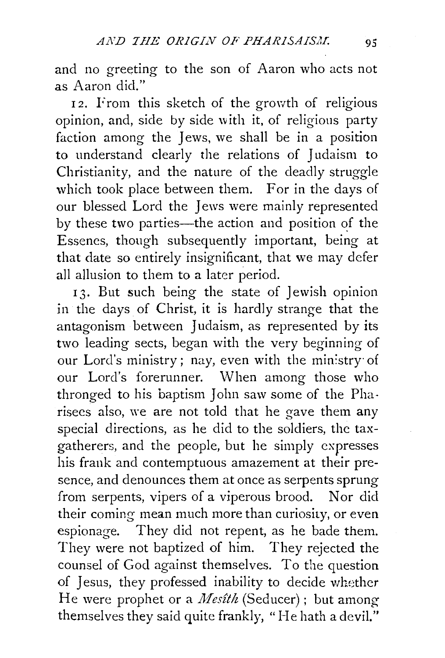and no greeting to the son of Aaron who acts not as Aaron did."

12. From this sketch of the growth of religious opinion, and, side by side with it, of religious party faction among the lews, we shall be in a position to understand clearly the relations of *1* udaism to Christianity, and the nature of the deadly struggle which took place between them. For in the days of our blessed Lord the *1* ews were mainly represented by these two parties—the action and position of the Essenes, though subsequently important, being at that date so entirely insignificant, that we may defer all allusion to them to a later period.

13. But such being the state of Jewish opinion in the days of Christ, it is hardly strange that the antagonism between Judaism, as represented by its two leading sects, began with the very beginning of our Lord's ministry; nay, even with the min:stry· of our Lord's forerunner. When among those who thronged to his baptism John saw some of the Pharisees also, we are not told that he gave them any special directions, as he did to the soldiers, the taxgatherers, and the people, but he simply expresses his frank and contemptuous amazement at their presence, and denounces them at once as serpents sprung from serpents, vipers of a viperous brood. Nor did their coming mean much more than curiosity, or even espionage. They did not repent, as he bade them. They were not baptized of him. They rejected the counsel of God against themselves. To the question of Jesus, they professed inability to decide whether He were prophet or a *Mesîth* (Seducer); but among themselves they said quite frankly, "He hath a devil."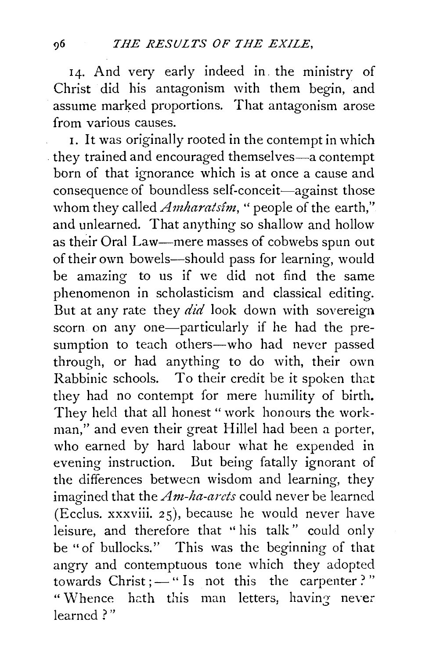14. And very early indeed in. the ministry of Christ did his antagonism with them begin, and assume marked proportions. That antagonism arose from various causes.

1. It was originally rooted in the contempt in which they trained and encouraged themselves-a contempt born of that ignorance which is at once a cause and consequence of boundless self-conceit-against those whom they called *Amharatsim*, "people of the earth," and unlearned. That anything so shallow and hollow as their Oral Law-mere masses of cobwebs spun out of their own bowels--should pass for learning, would be amazing to us if we did not find the same phenomenon in scholasticism and classical editing. But at any rate they *did* look down with sovereign scorn on any one-particularly if he had the presumption to teach others-who had never passed through, or had anything to do with, their own Rabbinic schools. To their credit be it spoken that they had no contempt for mere humility of birth. They held that all honest " work honours the workman," and even their great Hillel had been a porter, who earned by hard labour what he expended in evening instruction. But being fatally ignorant of the differences between wisdom and learning, they imagined that the *Am-ha-arcts* could never be learned (Ecclus. xxxviii. 25), because he would never have leisure, and therefore that " his talk" could only be "of bullocks." This was the beginning of that angry and contemptuous tone which they adopted towards  $Christ$ ;  $-\cdot$  is not this the carpenter?" " Whence hath this man letters, having never learned ? "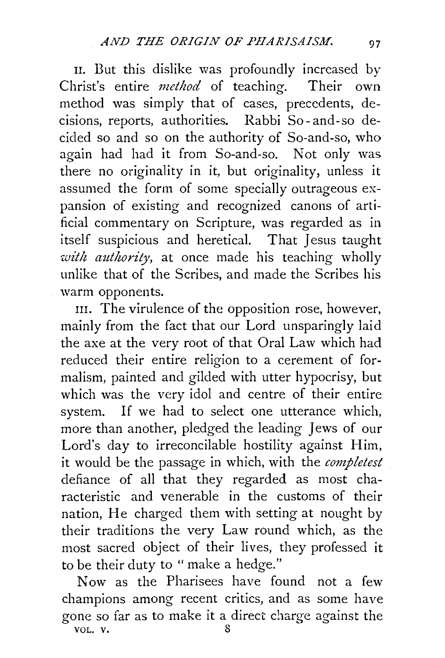II. But this dislike was profoundly increased by Christ's entire *method* of teaching. Their own method was simply that of cases, precedents, decisions, reports, authorities. Rabbi So- and-so decided so and so on the authority of So-and-so, who again had had it from So-and-so. Not only was there no originality in it, but originality, unless it assumed the form of some specially outrageous expansion of existing and recognized canons of artificial commentary on Scripture, was regarded as in itself suspicious and heretical. That Jesus taught *with authority,* at once made his teaching wholly unlike that of the Scribes, and made the Scribes his warm opponents.

III. The virulence of the opposition rose, however, mainly from the fact that our Lord unsparingly laid the axe at the very root of that Oral Law which had reduced their entire religion to a cerement of formalism, painted and gilded with utter hypocrisy, but which was the very idol and centre of their entire system. If we had to select one utterance which, more than another, pledged the leading Jews of our Lord's day to irreconcilable hostility against Him, it would be the passage in which, with the *completest*  defiance of all that they regarded as most characteristic and venerable in the customs of their nation, He charged them with setting at nought by their traditions the very Law round which, as the most sacred object of their lives, they professed it to be their duty to " make a hedge."

Now as the Pharisees have found not a few champions among recent critics, and as some have gone so far as to make it a direct charge against the VOL.  $v.$  8